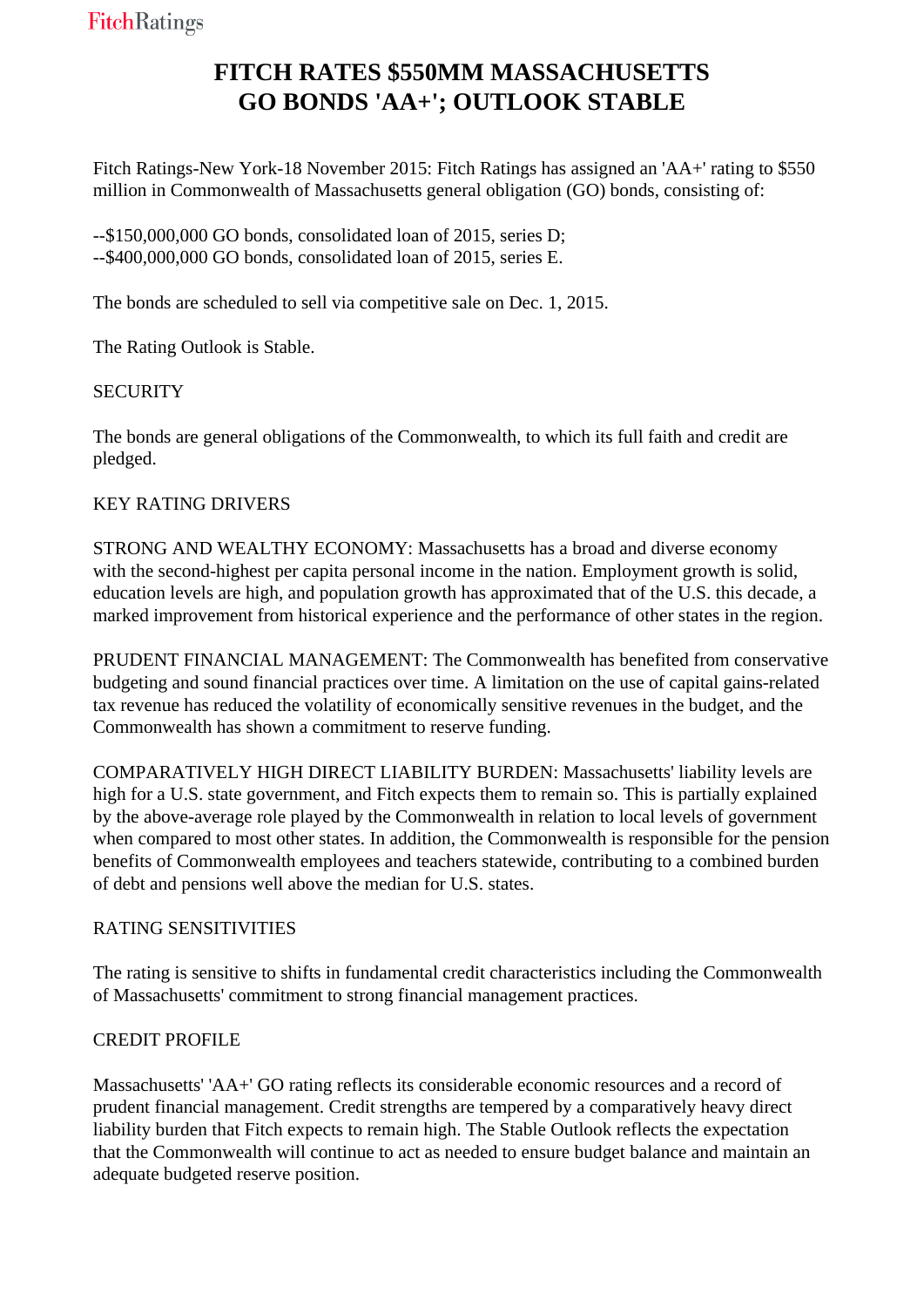# **FITCH RATES \$550MM MASSACHUSETTS GO BONDS 'AA+'; OUTLOOK STABLE**

 Fitch Ratings-New York-18 November 2015: Fitch Ratings has assigned an 'AA+' rating to \$550 million in Commonwealth of Massachusetts general obligation (GO) bonds, consisting of:

 --\$150,000,000 GO bonds, consolidated loan of 2015, series D; --\$400,000,000 GO bonds, consolidated loan of 2015, series E.

The bonds are scheduled to sell via competitive sale on Dec. 1, 2015.

The Rating Outlook is Stable.

# **SECURITY**

 The bonds are general obligations of the Commonwealth, to which its full faith and credit are pledged.

### KEY RATING DRIVERS

 STRONG AND WEALTHY ECONOMY: Massachusetts has a broad and diverse economy with the second-highest per capita personal income in the nation. Employment growth is solid, education levels are high, and population growth has approximated that of the U.S. this decade, a marked improvement from historical experience and the performance of other states in the region.

 PRUDENT FINANCIAL MANAGEMENT: The Commonwealth has benefited from conservative budgeting and sound financial practices over time. A limitation on the use of capital gains-related tax revenue has reduced the volatility of economically sensitive revenues in the budget, and the Commonwealth has shown a commitment to reserve funding.

 COMPARATIVELY HIGH DIRECT LIABILITY BURDEN: Massachusetts' liability levels are high for a U.S. state government, and Fitch expects them to remain so. This is partially explained by the above-average role played by the Commonwealth in relation to local levels of government when compared to most other states. In addition, the Commonwealth is responsible for the pension benefits of Commonwealth employees and teachers statewide, contributing to a combined burden of debt and pensions well above the median for U.S. states.

### RATING SENSITIVITIES

 The rating is sensitive to shifts in fundamental credit characteristics including the Commonwealth of Massachusetts' commitment to strong financial management practices.

### CREDIT PROFILE

 Massachusetts' 'AA+' GO rating reflects its considerable economic resources and a record of prudent financial management. Credit strengths are tempered by a comparatively heavy direct liability burden that Fitch expects to remain high. The Stable Outlook reflects the expectation that the Commonwealth will continue to act as needed to ensure budget balance and maintain an adequate budgeted reserve position.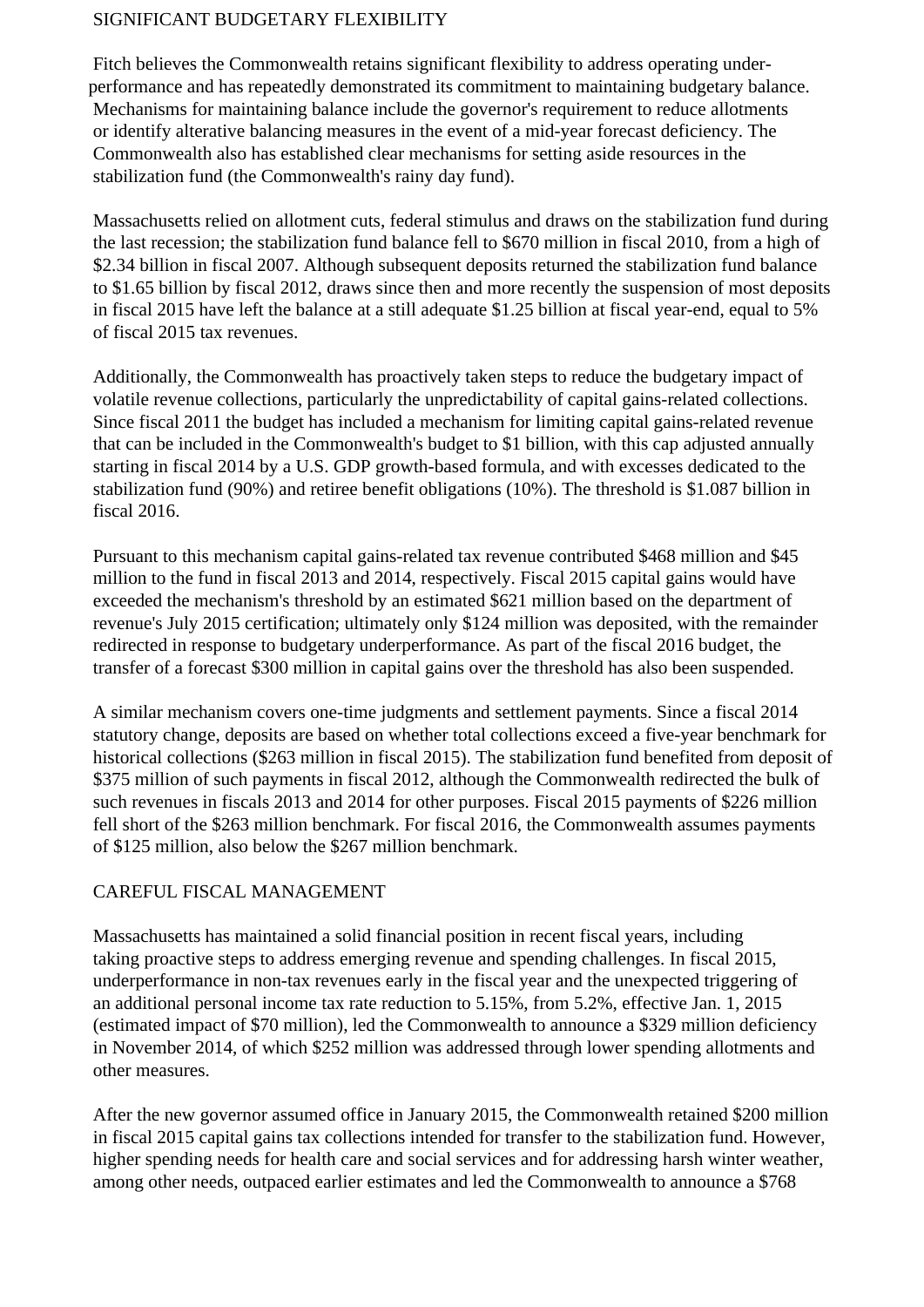#### SIGNIFICANT BUDGETARY FLEXIBILITY

 Fitch believes the Commonwealth retains significant flexibility to address operating underperformance and has repeatedly demonstrated its commitment to maintaining budgetary balance. Mechanisms for maintaining balance include the governor's requirement to reduce allotments or identify alterative balancing measures in the event of a mid-year forecast deficiency. The Commonwealth also has established clear mechanisms for setting aside resources in the stabilization fund (the Commonwealth's rainy day fund).

 Massachusetts relied on allotment cuts, federal stimulus and draws on the stabilization fund during the last recession; the stabilization fund balance fell to \$670 million in fiscal 2010, from a high of \$2.34 billion in fiscal 2007. Although subsequent deposits returned the stabilization fund balance to \$1.65 billion by fiscal 2012, draws since then and more recently the suspension of most deposits in fiscal 2015 have left the balance at a still adequate \$1.25 billion at fiscal year-end, equal to 5% of fiscal 2015 tax revenues.

 Additionally, the Commonwealth has proactively taken steps to reduce the budgetary impact of volatile revenue collections, particularly the unpredictability of capital gains-related collections. Since fiscal 2011 the budget has included a mechanism for limiting capital gains-related revenue that can be included in the Commonwealth's budget to \$1 billion, with this cap adjusted annually starting in fiscal 2014 by a U.S. GDP growth-based formula, and with excesses dedicated to the stabilization fund (90%) and retiree benefit obligations (10%). The threshold is \$1.087 billion in fiscal 2016.

 Pursuant to this mechanism capital gains-related tax revenue contributed \$468 million and \$45 million to the fund in fiscal 2013 and 2014, respectively. Fiscal 2015 capital gains would have exceeded the mechanism's threshold by an estimated \$621 million based on the department of revenue's July 2015 certification; ultimately only \$124 million was deposited, with the remainder redirected in response to budgetary underperformance. As part of the fiscal 2016 budget, the transfer of a forecast \$300 million in capital gains over the threshold has also been suspended.

 A similar mechanism covers one-time judgments and settlement payments. Since a fiscal 2014 statutory change, deposits are based on whether total collections exceed a five-year benchmark for historical collections (\$263 million in fiscal 2015). The stabilization fund benefited from deposit of \$375 million of such payments in fiscal 2012, although the Commonwealth redirected the bulk of such revenues in fiscals 2013 and 2014 for other purposes. Fiscal 2015 payments of \$226 million fell short of the \$263 million benchmark. For fiscal 2016, the Commonwealth assumes payments of \$125 million, also below the \$267 million benchmark.

### CAREFUL FISCAL MANAGEMENT

 Massachusetts has maintained a solid financial position in recent fiscal years, including taking proactive steps to address emerging revenue and spending challenges. In fiscal 2015, underperformance in non-tax revenues early in the fiscal year and the unexpected triggering of an additional personal income tax rate reduction to 5.15%, from 5.2%, effective Jan. 1, 2015 (estimated impact of \$70 million), led the Commonwealth to announce a \$329 million deficiency in November 2014, of which \$252 million was addressed through lower spending allotments and other measures.

 After the new governor assumed office in January 2015, the Commonwealth retained \$200 million in fiscal 2015 capital gains tax collections intended for transfer to the stabilization fund. However, higher spending needs for health care and social services and for addressing harsh winter weather, among other needs, outpaced earlier estimates and led the Commonwealth to announce a \$768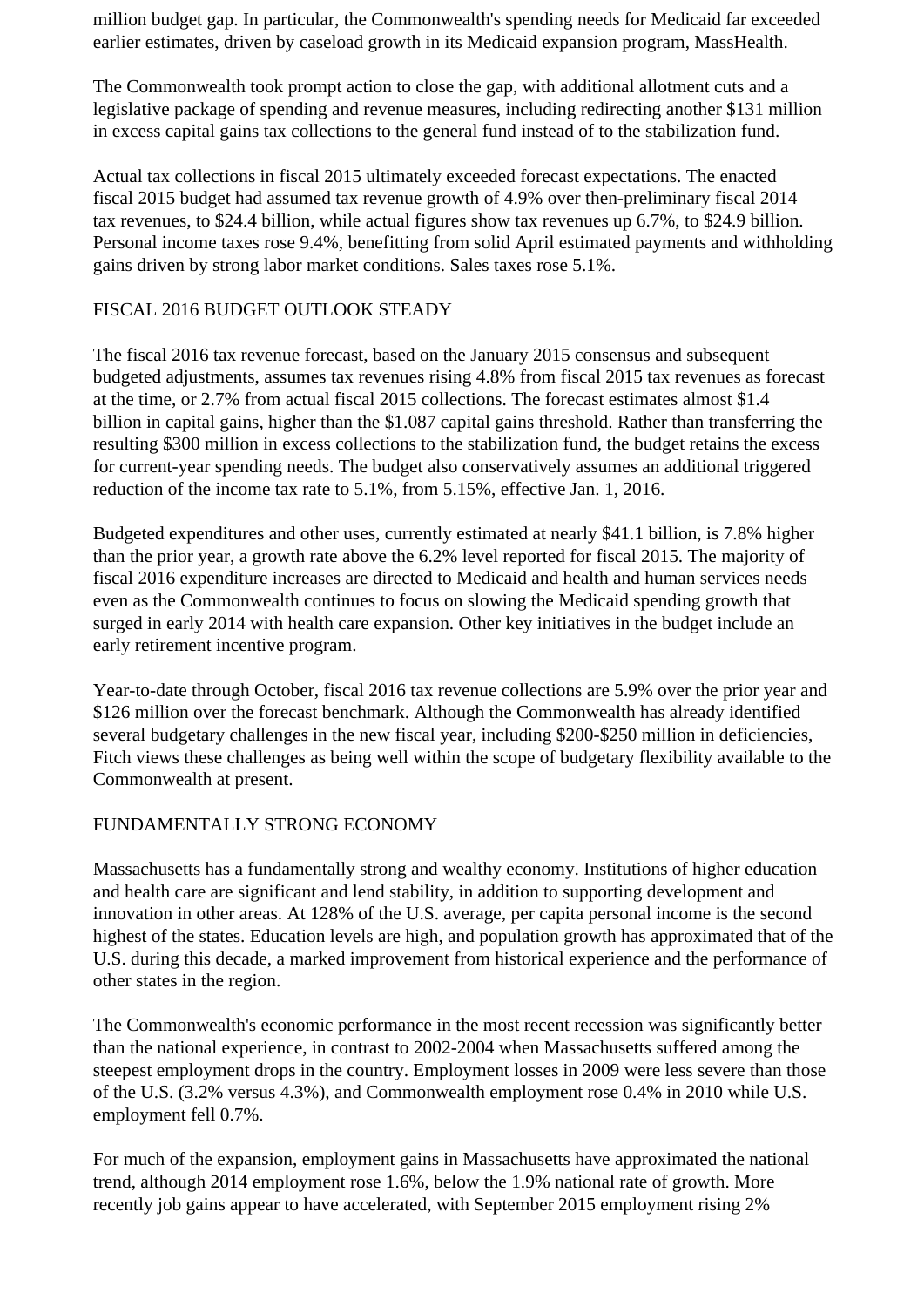million budget gap. In particular, the Commonwealth's spending needs for Medicaid far exceeded earlier estimates, driven by caseload growth in its Medicaid expansion program, MassHealth.

 The Commonwealth took prompt action to close the gap, with additional allotment cuts and a legislative package of spending and revenue measures, including redirecting another \$131 million in excess capital gains tax collections to the general fund instead of to the stabilization fund.

 Actual tax collections in fiscal 2015 ultimately exceeded forecast expectations. The enacted fiscal 2015 budget had assumed tax revenue growth of 4.9% over then-preliminary fiscal 2014 tax revenues, to \$24.4 billion, while actual figures show tax revenues up 6.7%, to \$24.9 billion. Personal income taxes rose 9.4%, benefitting from solid April estimated payments and withholding gains driven by strong labor market conditions. Sales taxes rose 5.1%.

## FISCAL 2016 BUDGET OUTLOOK STEADY

 The fiscal 2016 tax revenue forecast, based on the January 2015 consensus and subsequent budgeted adjustments, assumes tax revenues rising 4.8% from fiscal 2015 tax revenues as forecast at the time, or 2.7% from actual fiscal 2015 collections. The forecast estimates almost \$1.4 billion in capital gains, higher than the \$1.087 capital gains threshold. Rather than transferring the resulting \$300 million in excess collections to the stabilization fund, the budget retains the excess for current-year spending needs. The budget also conservatively assumes an additional triggered reduction of the income tax rate to 5.1%, from 5.15%, effective Jan. 1, 2016.

 Budgeted expenditures and other uses, currently estimated at nearly \$41.1 billion, is 7.8% higher than the prior year, a growth rate above the 6.2% level reported for fiscal 2015. The majority of fiscal 2016 expenditure increases are directed to Medicaid and health and human services needs even as the Commonwealth continues to focus on slowing the Medicaid spending growth that surged in early 2014 with health care expansion. Other key initiatives in the budget include an early retirement incentive program.

 Year-to-date through October, fiscal 2016 tax revenue collections are 5.9% over the prior year and \$126 million over the forecast benchmark. Although the Commonwealth has already identified several budgetary challenges in the new fiscal year, including \$200-\$250 million in deficiencies, Fitch views these challenges as being well within the scope of budgetary flexibility available to the Commonwealth at present.

### FUNDAMENTALLY STRONG ECONOMY

 Massachusetts has a fundamentally strong and wealthy economy. Institutions of higher education and health care are significant and lend stability, in addition to supporting development and innovation in other areas. At 128% of the U.S. average, per capita personal income is the second highest of the states. Education levels are high, and population growth has approximated that of the U.S. during this decade, a marked improvement from historical experience and the performance of other states in the region.

 The Commonwealth's economic performance in the most recent recession was significantly better than the national experience, in contrast to 2002-2004 when Massachusetts suffered among the steepest employment drops in the country. Employment losses in 2009 were less severe than those of the U.S. (3.2% versus 4.3%), and Commonwealth employment rose 0.4% in 2010 while U.S. employment fell 0.7%.

 For much of the expansion, employment gains in Massachusetts have approximated the national trend, although 2014 employment rose 1.6%, below the 1.9% national rate of growth. More recently job gains appear to have accelerated, with September 2015 employment rising 2%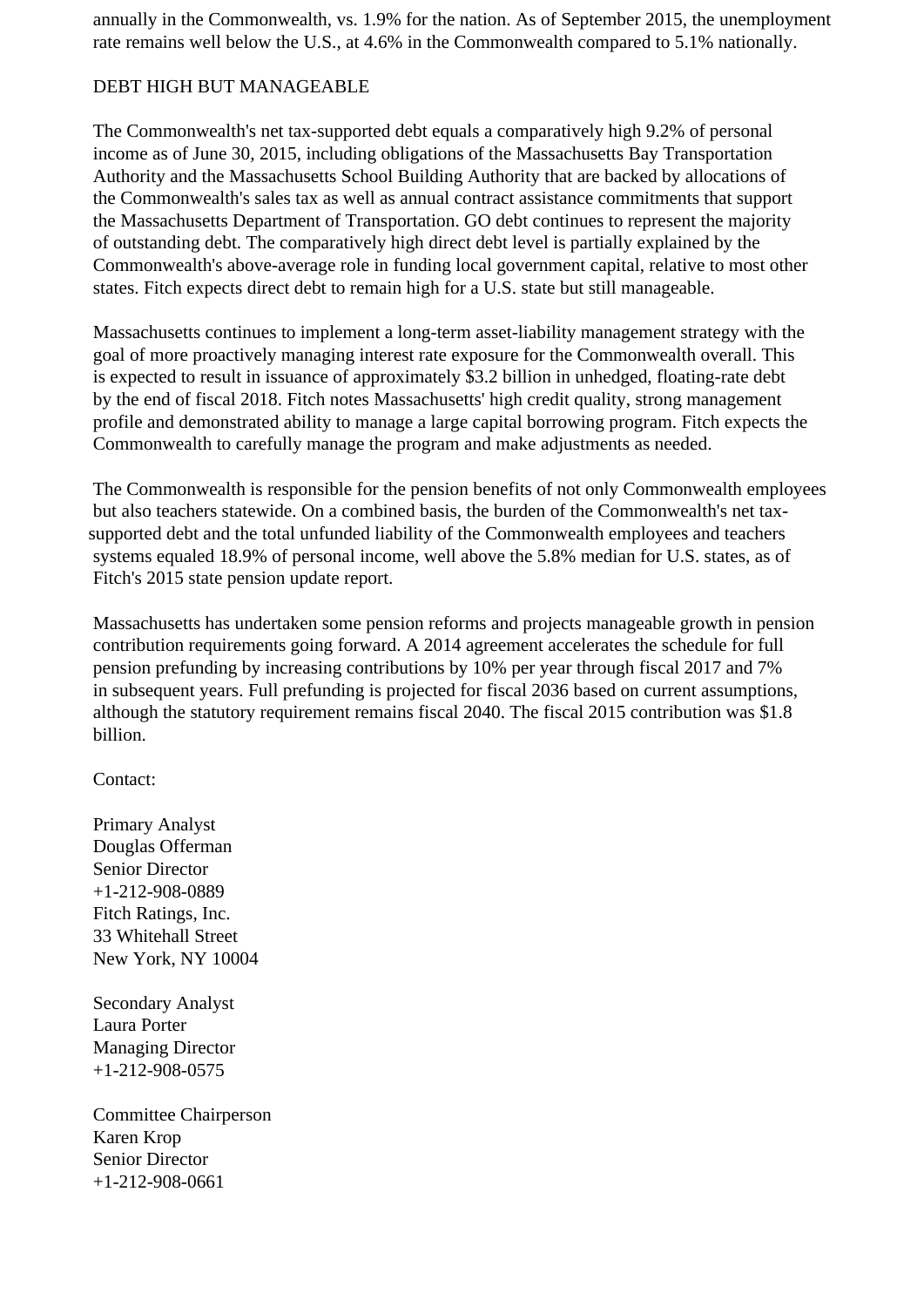annually in the Commonwealth, vs. 1.9% for the nation. As of September 2015, the unemployment rate remains well below the U.S., at 4.6% in the Commonwealth compared to 5.1% nationally.

## DEBT HIGH BUT MANAGEABLE

 The Commonwealth's net tax-supported debt equals a comparatively high 9.2% of personal income as of June 30, 2015, including obligations of the Massachusetts Bay Transportation Authority and the Massachusetts School Building Authority that are backed by allocations of the Commonwealth's sales tax as well as annual contract assistance commitments that support the Massachusetts Department of Transportation. GO debt continues to represent the majority of outstanding debt. The comparatively high direct debt level is partially explained by the Commonwealth's above-average role in funding local government capital, relative to most other states. Fitch expects direct debt to remain high for a U.S. state but still manageable.

 Massachusetts continues to implement a long-term asset-liability management strategy with the goal of more proactively managing interest rate exposure for the Commonwealth overall. This is expected to result in issuance of approximately \$3.2 billion in unhedged, floating-rate debt by the end of fiscal 2018. Fitch notes Massachusetts' high credit quality, strong management profile and demonstrated ability to manage a large capital borrowing program. Fitch expects the Commonwealth to carefully manage the program and make adjustments as needed.

 The Commonwealth is responsible for the pension benefits of not only Commonwealth employees but also teachers statewide. On a combined basis, the burden of the Commonwealth's net taxsupported debt and the total unfunded liability of the Commonwealth employees and teachers systems equaled 18.9% of personal income, well above the 5.8% median for U.S. states, as of Fitch's 2015 state pension update report.

 Massachusetts has undertaken some pension reforms and projects manageable growth in pension contribution requirements going forward. A 2014 agreement accelerates the schedule for full pension prefunding by increasing contributions by 10% per year through fiscal 2017 and 7% in subsequent years. Full prefunding is projected for fiscal 2036 based on current assumptions, although the statutory requirement remains fiscal 2040. The fiscal 2015 contribution was \$1.8 billion.

Contact:

 Primary Analyst Douglas Offerman Senior Director +1-212-908-0889 Fitch Ratings, Inc. 33 Whitehall Street New York, NY 10004

 Secondary Analyst Laura Porter Managing Director +1-212-908-0575

 Committee Chairperson Karen Krop Senior Director +1-212-908-0661